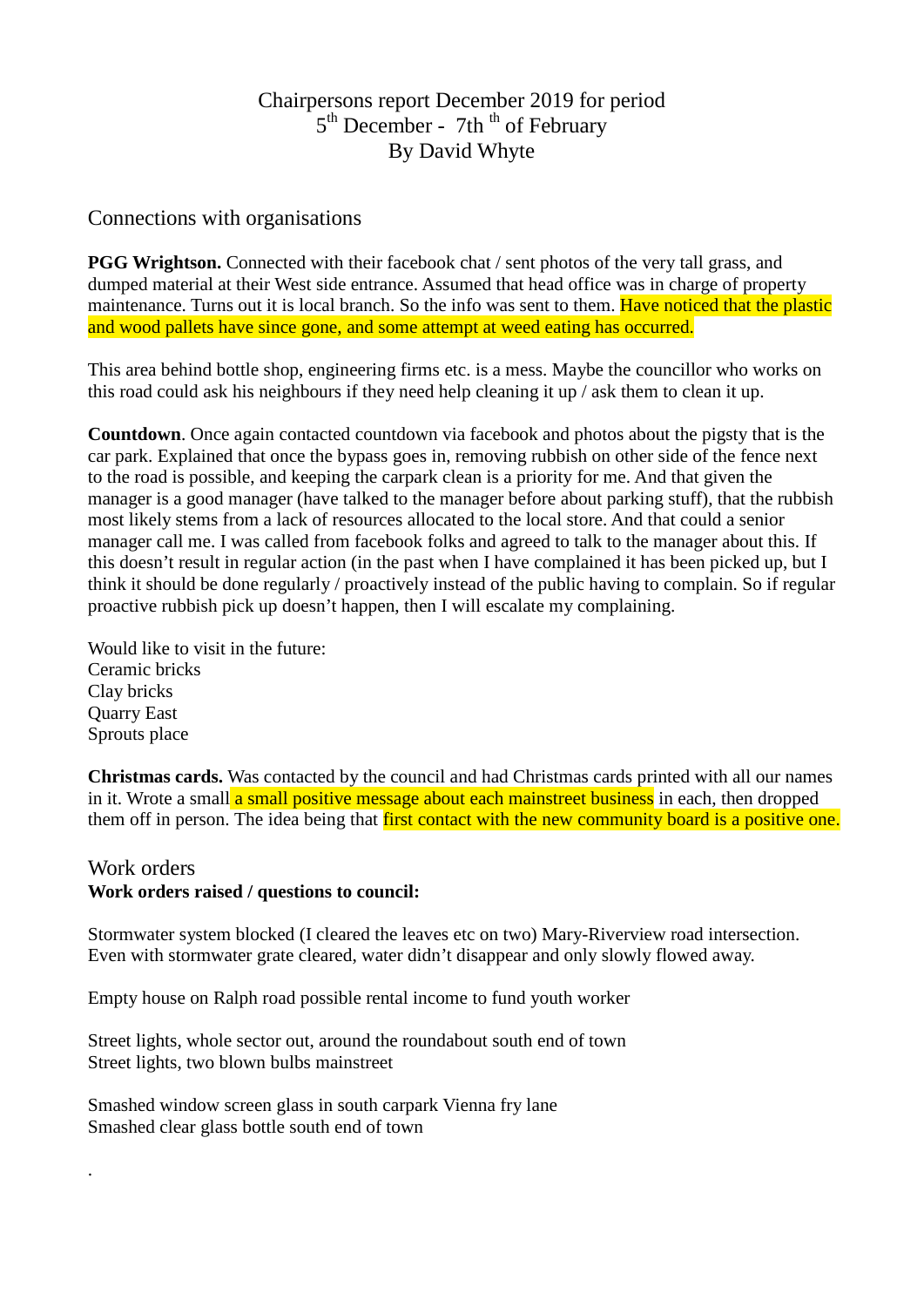# Chairpersons report December 2019 for period  $5<sup>th</sup> December - 7th<sup>th</sup> of February$ By David Whyte

## Connections with organisations

**PGG Wrightson.** Connected with their facebook chat / sent photos of the very tall grass, and dumped material at their West side entrance. Assumed that head office was in charge of property maintenance. Turns out it is local branch. So the info was sent to them. Have noticed that the plastic and wood pallets have since gone, and some attempt at weed eating has occurred.

This area behind bottle shop, engineering firms etc. is a mess. Maybe the councillor who works on this road could ask his neighbours if they need help cleaning it up / ask them to clean it up.

**Countdown**. Once again contacted countdown via facebook and photos about the pigsty that is the car park. Explained that once the bypass goes in, removing rubbish on other side of the fence next to the road is possible, and keeping the carpark clean is a priority for me. And that given the manager is a good manager (have talked to the manager before about parking stuff), that the rubbish most likely stems from a lack of resources allocated to the local store. And that could a senior manager call me. I was called from facebook folks and agreed to talk to the manager about this. If this doesn't result in regular action (in the past when I have complained it has been picked up, but I think it should be done regularly / proactively instead of the public having to complain. So if regular proactive rubbish pick up doesn't happen, then I will escalate my complaining.

Would like to visit in the future: Ceramic bricks Clay bricks Quarry East Sprouts place

**Christmas cards.** Was contacted by the council and had Christmas cards printed with all our names in it. Wrote a small a small positive message about each mainstreet business in each, then dropped them off in person. The idea being that first contact with the new community board is a positive one.

## Work orders

.

### **Work orders raised / questions to council:**

Stormwater system blocked (I cleared the leaves etc on two) Mary-Riverview road intersection. Even with stormwater grate cleared, water didn't disappear and only slowly flowed away.

Empty house on Ralph road possible rental income to fund youth worker

Street lights, whole sector out, around the roundabout south end of town Street lights, two blown bulbs mainstreet

Smashed window screen glass in south carpark Vienna fry lane Smashed clear glass bottle south end of town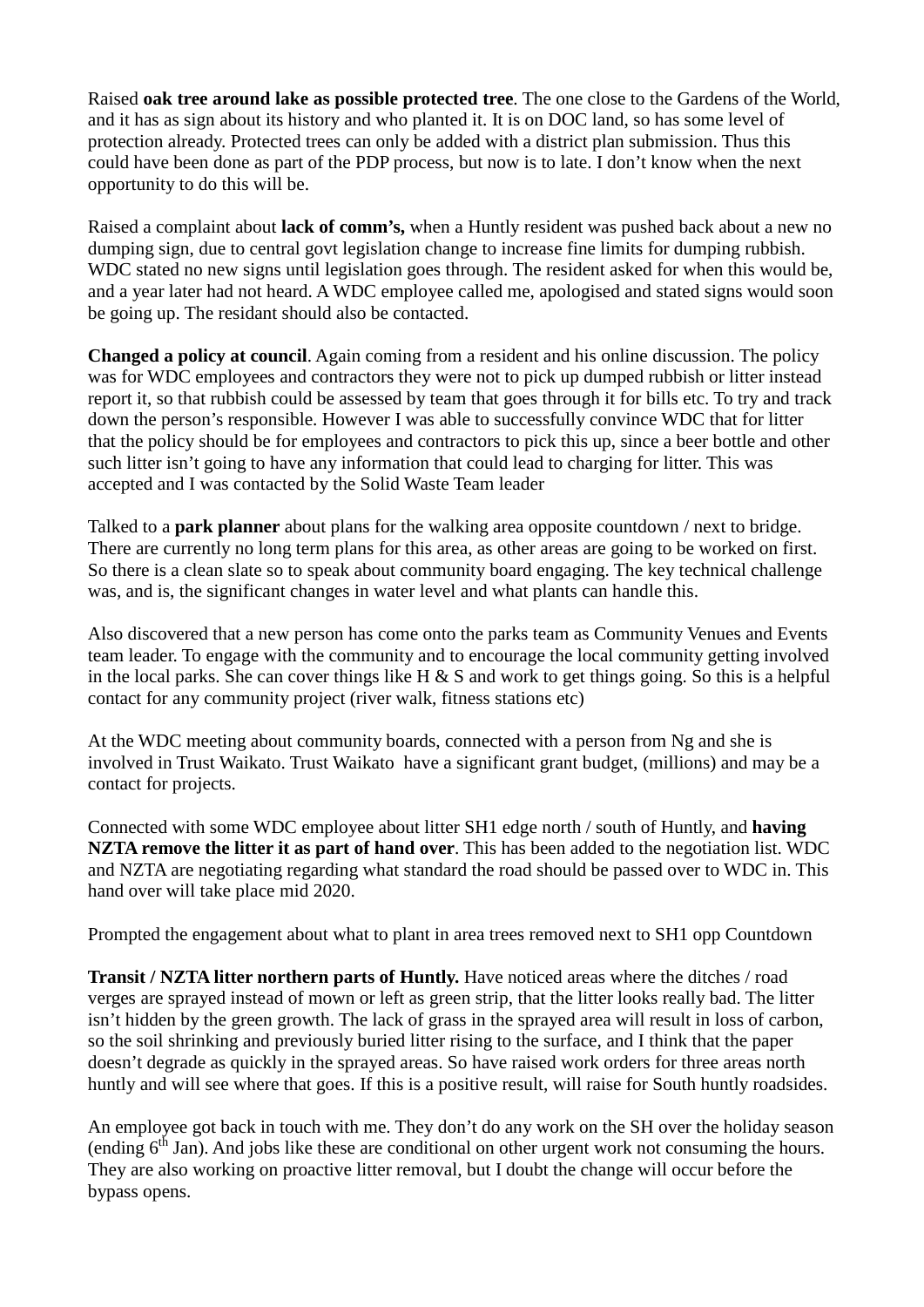Raised **oak tree around lake as possible protected tree**. The one close to the Gardens of the World, and it has as sign about its history and who planted it. It is on DOC land, so has some level of protection already. Protected trees can only be added with a district plan submission. Thus this could have been done as part of the PDP process, but now is to late. I don't know when the next opportunity to do this will be.

Raised a complaint about **lack of comm's,** when a Huntly resident was pushed back about a new no dumping sign, due to central govt legislation change to increase fine limits for dumping rubbish. WDC stated no new signs until legislation goes through. The resident asked for when this would be, and a year later had not heard. A WDC employee called me, apologised and stated signs would soon be going up. The residant should also be contacted.

**Changed a policy at council**. Again coming from a resident and his online discussion. The policy was for WDC employees and contractors they were not to pick up dumped rubbish or litter instead report it, so that rubbish could be assessed by team that goes through it for bills etc. To try and track down the person's responsible. However I was able to successfully convince WDC that for litter that the policy should be for employees and contractors to pick this up, since a beer bottle and other such litter isn't going to have any information that could lead to charging for litter. This was accepted and I was contacted by the Solid Waste Team leader

Talked to a **park planner** about plans for the walking area opposite countdown / next to bridge. There are currently no long term plans for this area, as other areas are going to be worked on first. So there is a clean slate so to speak about community board engaging. The key technical challenge was, and is, the significant changes in water level and what plants can handle this.

Also discovered that a new person has come onto the parks team as Community Venues and Events team leader. To engage with the community and to encourage the local community getting involved in the local parks. She can cover things like H  $\&$  S and work to get things going. So this is a helpful contact for any community project (river walk, fitness stations etc)

At the WDC meeting about community boards, connected with a person from Ng and she is involved in Trust Waikato. Trust Waikato have a significant grant budget, (millions) and may be a contact for projects.

Connected with some WDC employee about litter SH1 edge north / south of Huntly, and **having NZTA remove the litter it as part of hand over**. This has been added to the negotiation list. WDC and NZTA are negotiating regarding what standard the road should be passed over to WDC in. This hand over will take place mid 2020.

Prompted the engagement about what to plant in area trees removed next to SH1 opp Countdown

**Transit / NZTA litter northern parts of Huntly.** Have noticed areas where the ditches / road verges are sprayed instead of mown or left as green strip, that the litter looks really bad. The litter isn't hidden by the green growth. The lack of grass in the sprayed area will result in loss of carbon, so the soil shrinking and previously buried litter rising to the surface, and I think that the paper doesn't degrade as quickly in the sprayed areas. So have raised work orders for three areas north huntly and will see where that goes. If this is a positive result, will raise for South huntly roadsides.

An employee got back in touch with me. They don't do any work on the SH over the holiday season (ending  $6<sup>th</sup>$  Jan). And jobs like these are conditional on other urgent work not consuming the hours. They are also working on proactive litter removal, but I doubt the change will occur before the bypass opens.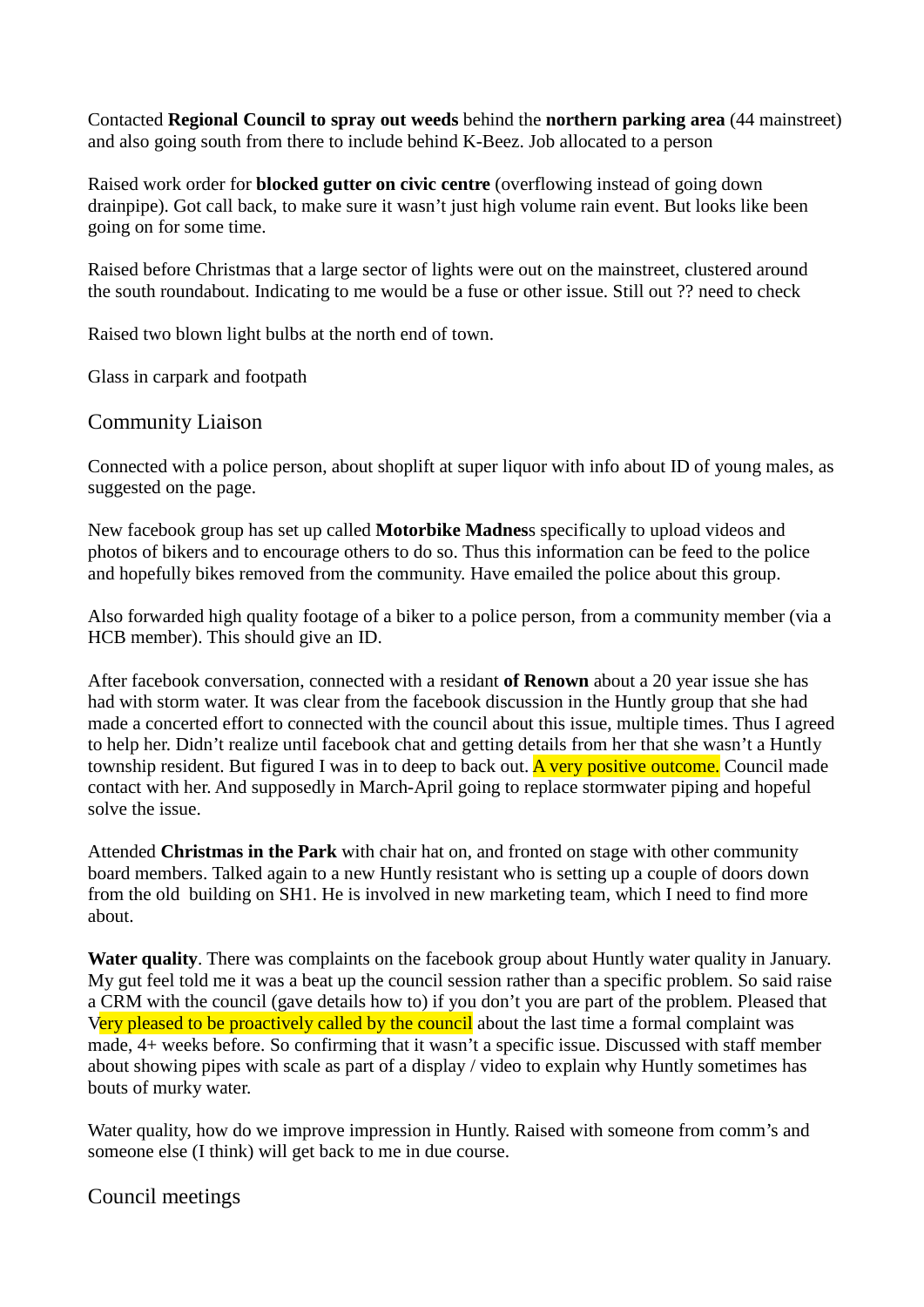Contacted **Regional Council to spray out weeds** behind the **northern parking area** (44 mainstreet) and also going south from there to include behind K-Beez. Job allocated to a person

Raised work order for **blocked gutter on civic centre** (overflowing instead of going down drainpipe). Got call back, to make sure it wasn't just high volume rain event. But looks like been going on for some time.

Raised before Christmas that a large sector of lights were out on the mainstreet, clustered around the south roundabout. Indicating to me would be a fuse or other issue. Still out ?? need to check

Raised two blown light bulbs at the north end of town.

Glass in carpark and footpath

### Community Liaison

Connected with a police person, about shoplift at super liquor with info about ID of young males, as suggested on the page.

New facebook group has set up called **Motorbike Madnes**s specifically to upload videos and photos of bikers and to encourage others to do so. Thus this information can be feed to the police and hopefully bikes removed from the community. Have emailed the police about this group.

Also forwarded high quality footage of a biker to a police person, from a community member (via a HCB member). This should give an ID.

After facebook conversation, connected with a residant **of Renown** about a 20 year issue she has had with storm water. It was clear from the facebook discussion in the Huntly group that she had made a concerted effort to connected with the council about this issue, multiple times. Thus I agreed to help her. Didn't realize until facebook chat and getting details from her that she wasn't a Huntly township resident. But figured I was in to deep to back out. A very positive outcome. Council made contact with her. And supposedly in March-April going to replace stormwater piping and hopeful solve the issue.

Attended **Christmas in the Park** with chair hat on, and fronted on stage with other community board members. Talked again to a new Huntly resistant who is setting up a couple of doors down from the old building on SH1. He is involved in new marketing team, which I need to find more about.

**Water quality**. There was complaints on the facebook group about Huntly water quality in January. My gut feel told me it was a beat up the council session rather than a specific problem. So said raise a CRM with the council (gave details how to) if you don't you are part of the problem. Pleased that Very pleased to be proactively called by the council about the last time a formal complaint was made, 4+ weeks before. So confirming that it wasn't a specific issue. Discussed with staff member about showing pipes with scale as part of a display / video to explain why Huntly sometimes has bouts of murky water.

Water quality, how do we improve impression in Huntly. Raised with someone from comm's and someone else (I think) will get back to me in due course.

Council meetings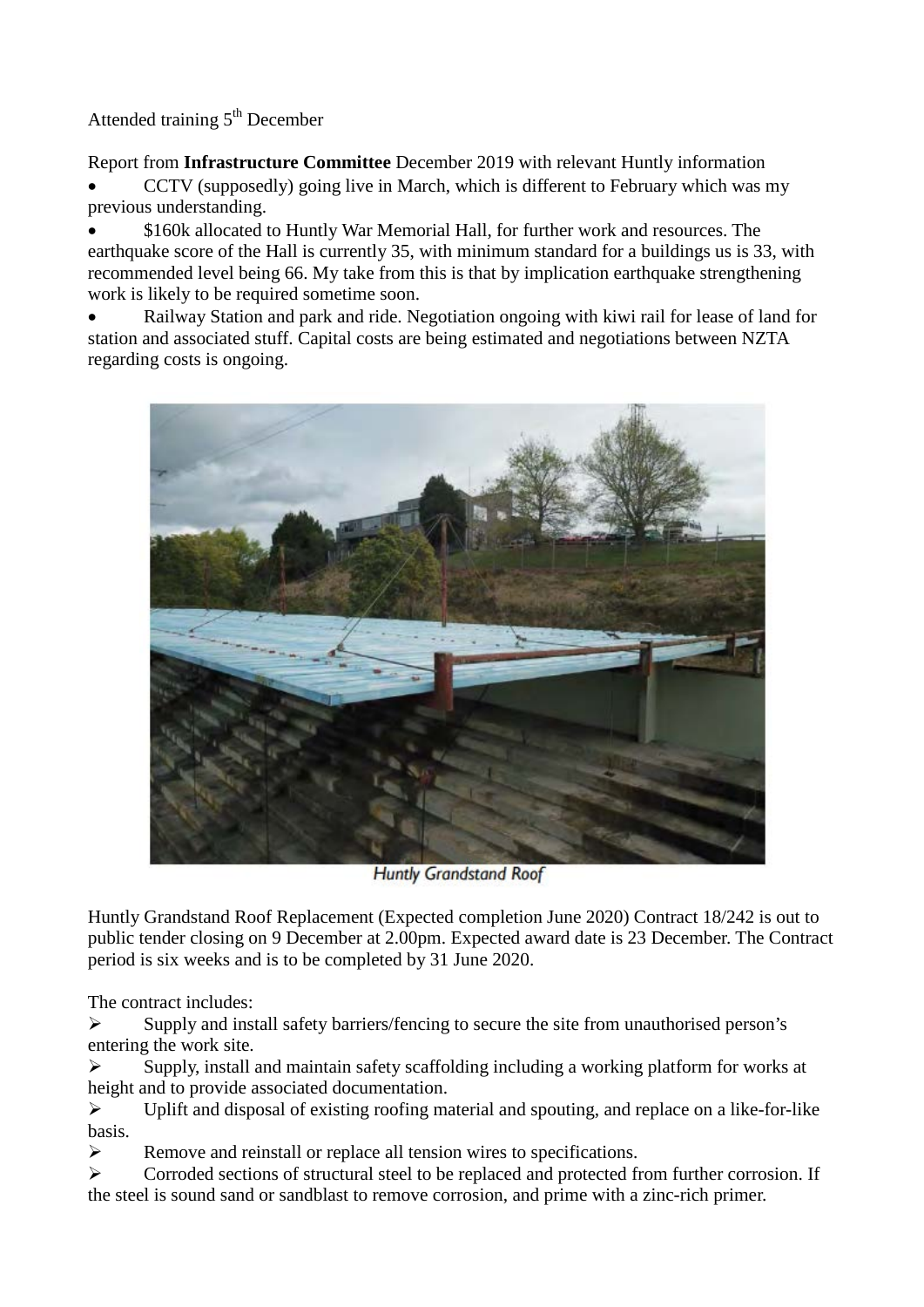Attended training  $5<sup>th</sup>$  December

Report from **Infrastructure Committee** December 2019 with relevant Huntly information • CCTV (supposedly) going live in March, which is different to February which was my previous understanding.

• \$160k allocated to Huntly War Memorial Hall, for further work and resources. The earthquake score of the Hall is currently 35, with minimum standard for a buildings us is 33, with recommended level being 66. My take from this is that by implication earthquake strengthening work is likely to be required sometime soon.

• Railway Station and park and ride. Negotiation ongoing with kiwi rail for lease of land for station and associated stuff. Capital costs are being estimated and negotiations between NZTA regarding costs is ongoing.



**Huntly Grandstand Roof** 

Huntly Grandstand Roof Replacement (Expected completion June 2020) Contract 18/242 is out to public tender closing on 9 December at 2.00pm. Expected award date is 23 December. The Contract period is six weeks and is to be completed by 31 June 2020.

The contract includes:

 $\triangleright$  Supply and install safety barriers/fencing to secure the site from unauthorised person's entering the work site.

 $\triangleright$  Supply, install and maintain safety scaffolding including a working platform for works at height and to provide associated documentation.

 $\triangleright$  Uplift and disposal of existing roofing material and spouting, and replace on a like-for-like basis.

Remove and reinstall or replace all tension wires to specifications.

 $\triangleright$  Corroded sections of structural steel to be replaced and protected from further corrosion. If the steel is sound sand or sandblast to remove corrosion, and prime with a zinc-rich primer.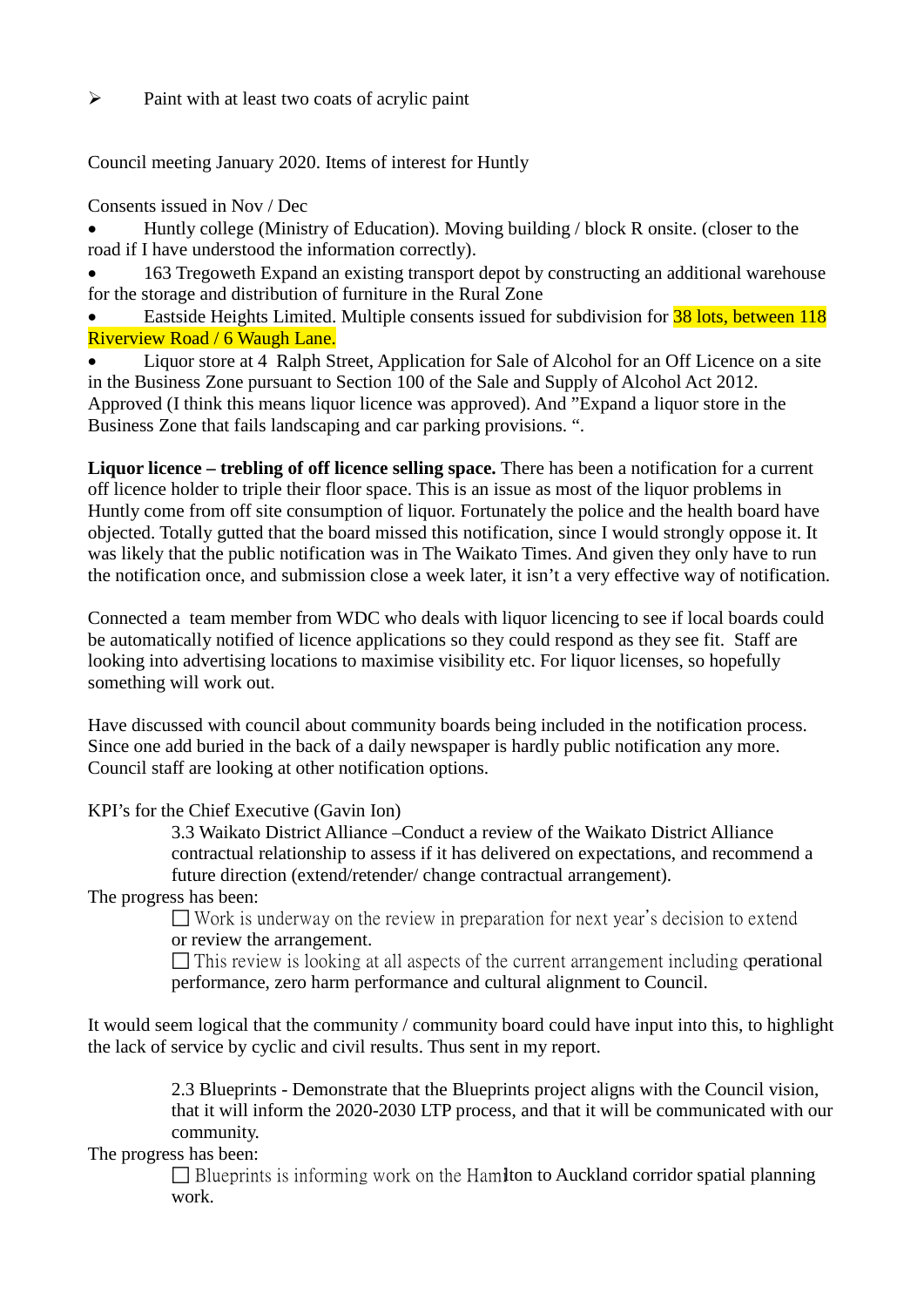$\triangleright$  Paint with at least two coats of acrylic paint

Council meeting January 2020. Items of interest for Huntly

Consents issued in Nov / Dec

• Huntly college (Ministry of Education). Moving building / block R onsite. (closer to the road if I have understood the information correctly).

• 163 Tregoweth Expand an existing transport depot by constructing an additional warehouse for the storage and distribution of furniture in the Rural Zone

Eastside Heights Limited. Multiple consents issued for subdivision for **38 lots, between 118** Riverview Road / 6 Waugh Lane.

• Liquor store at 4 Ralph Street, Application for Sale of Alcohol for an Off Licence on a site in the Business Zone pursuant to Section 100 of the Sale and Supply of Alcohol Act 2012. Approved (I think this means liquor licence was approved). And "Expand a liquor store in the Business Zone that fails landscaping and car parking provisions. ".

**Liquor licence – trebling of off licence selling space.** There has been a notification for a current off licence holder to triple their floor space. This is an issue as most of the liquor problems in Huntly come from off site consumption of liquor. Fortunately the police and the health board have objected. Totally gutted that the board missed this notification, since I would strongly oppose it. It was likely that the public notification was in The Waikato Times. And given they only have to run the notification once, and submission close a week later, it isn't a very effective way of notification.

Connected a team member from WDC who deals with liquor licencing to see if local boards could be automatically notified of licence applications so they could respond as they see fit. Staff are looking into advertising locations to maximise visibility etc. For liquor licenses, so hopefully something will work out.

Have discussed with council about community boards being included in the notification process. Since one add buried in the back of a daily newspaper is hardly public notification any more. Council staff are looking at other notification options.

KPI's for the Chief Executive (Gavin Ion)

3.3 Waikato District Alliance –Conduct a review of the Waikato District Alliance contractual relationship to assess if it has delivered on expectations, and recommend a future direction (extend/retender/ change contractual arrangement).

The progress has been:

 $\Box$  Work is underway on the review in preparation for next year's decision to extend or review the arrangement.

 $\Box$  This review is looking at all aspects of the current arrangement including **operational** performance, zero harm performance and cultural alignment to Council.

It would seem logical that the community / community board could have input into this, to highlight the lack of service by cyclic and civil results. Thus sent in my report.

> 2.3 Blueprints - Demonstrate that the Blueprints project aligns with the Council vision, that it will inform the 2020-2030 LTP process, and that it will be communicated with our community.

The progress has been:

 $\Box$  Blueprints is informing work on the Hamilton to Auckland corridor spatial planning work.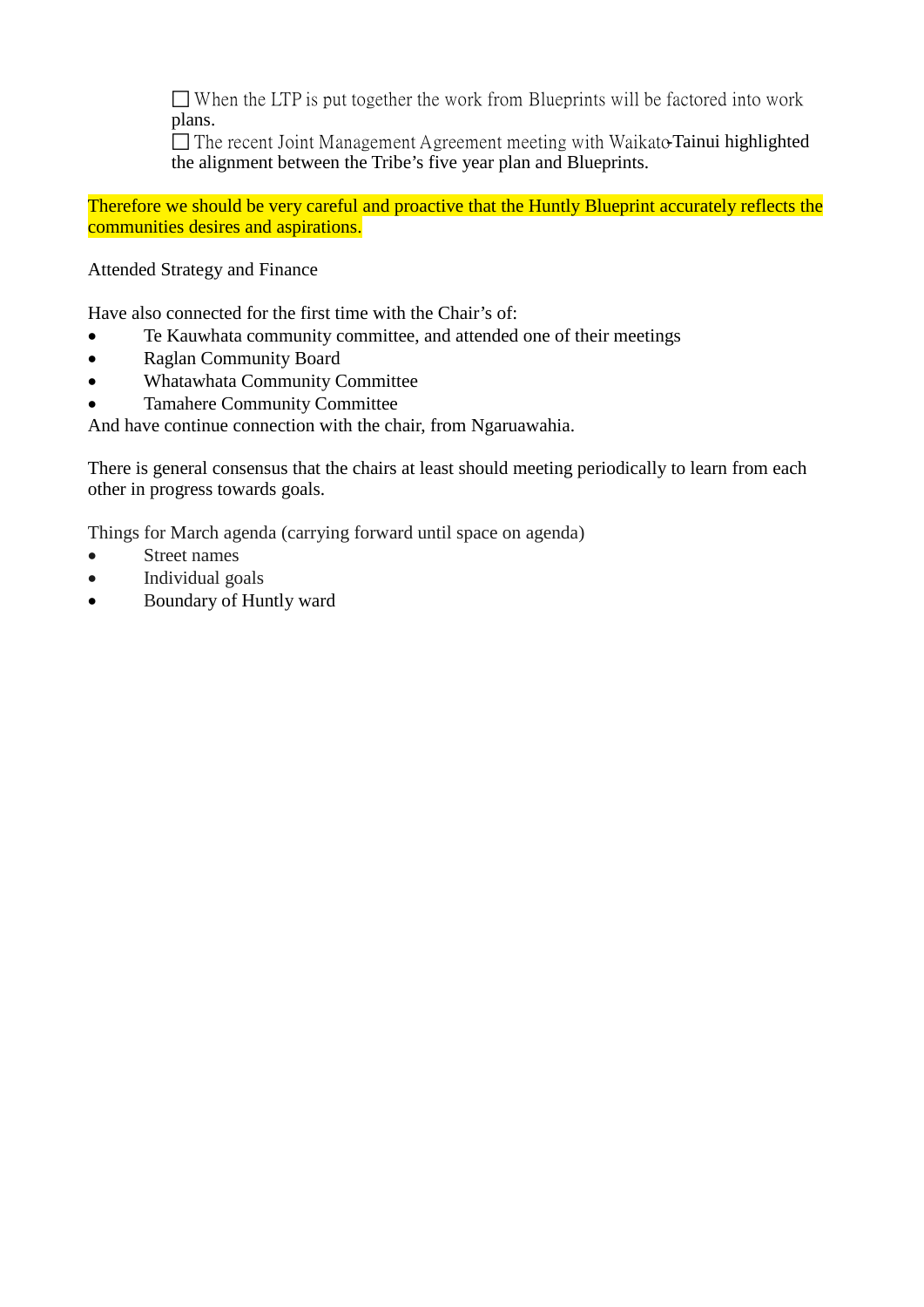$\Box$  When the LTP is put together the work from Blueprints will be factored into work plans.

 $\Box$  The recent Joint Management Agreement meeting with Waikato-Tainui highlighted the alignment between the Tribe's five year plan and Blueprints.

Therefore we should be very careful and proactive that the Huntly Blueprint accurately reflects the communities desires and aspirations.

Attended Strategy and Finance

Have also connected for the first time with the Chair's of:

- Te Kauwhata community committee, and attended one of their meetings
- Raglan Community Board
- Whatawhata Community Committee
- Tamahere Community Committee

And have continue connection with the chair, from Ngaruawahia.

There is general consensus that the chairs at least should meeting periodically to learn from each other in progress towards goals.

Things for March agenda (carrying forward until space on agenda)

- Street names
- Individual goals
- Boundary of Huntly ward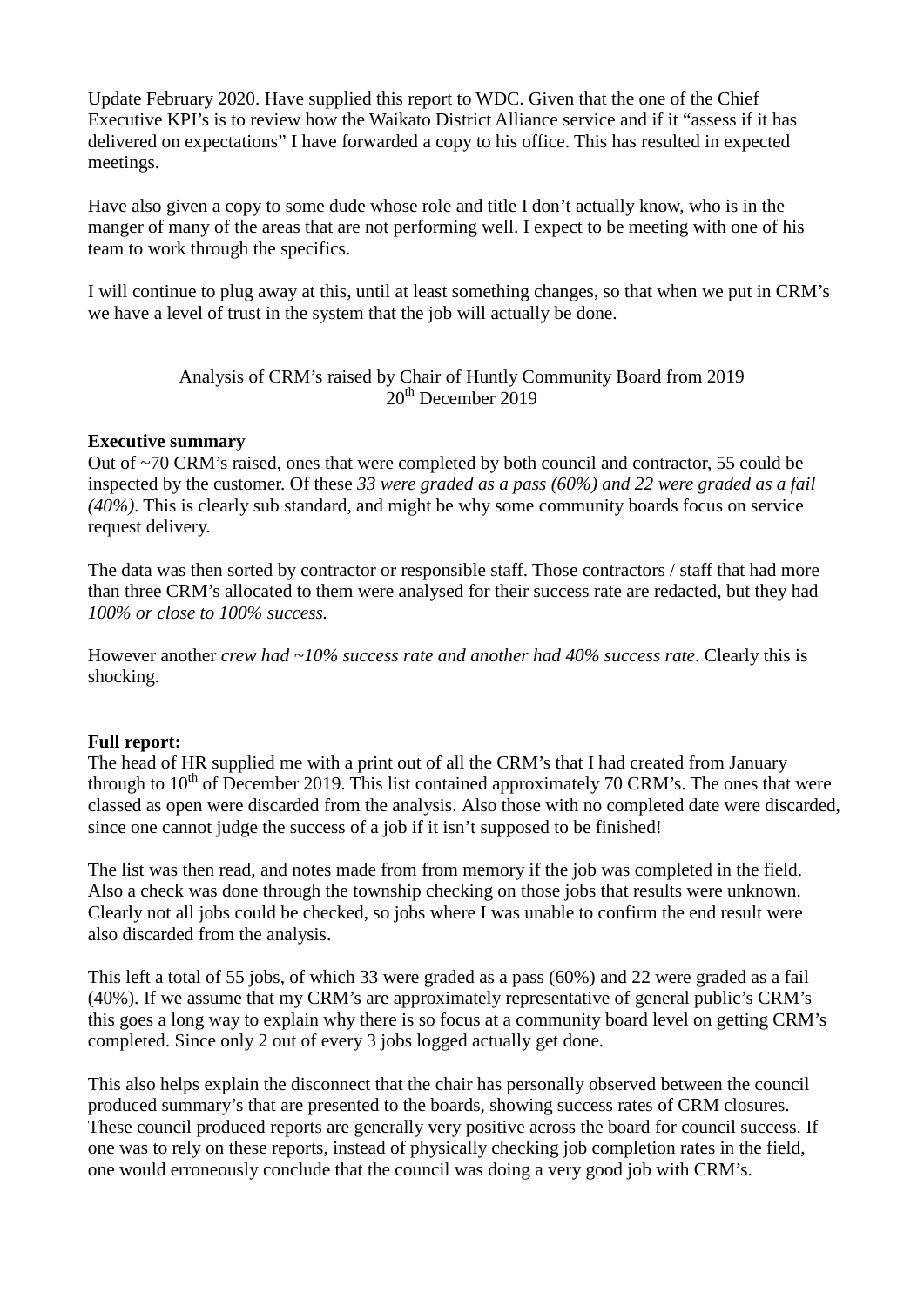Update February 2020. Have supplied this report to WDC. Given that the one of the Chief Executive KPI's is to review how the Waikato District Alliance service and if it "assess if it has delivered on expectations" I have forwarded a copy to his office. This has resulted in expected meetings.

Have also given a copy to some dude whose role and title I don't actually know, who is in the manger of many of the areas that are not performing well. I expect to be meeting with one of his team to work through the specifics.

I will continue to plug away at this, until at least something changes, so that when we put in CRM's we have a level of trust in the system that the job will actually be done.

> Analysis of CRM's raised by Chair of Huntly Community Board from 2019 20<sup>th</sup> December 2019

#### **Executive summary**

Out of ~70 CRM's raised, ones that were completed by both council and contractor, 55 could be inspected by the customer. Of these *33 were graded as a pass (60%) and 22 were graded as a fail (40%)*. This is clearly sub standard, and might be why some community boards focus on service request delivery.

The data was then sorted by contractor or responsible staff. Those contractors / staff that had more than three CRM's allocated to them were analysed for their success rate are redacted, but they had *100% or close to 100% success.* 

However another *crew had ~10% success rate and another had 40% success rate*. Clearly this is shocking.

#### **Full report:**

The head of HR supplied me with a print out of all the CRM's that I had created from January through to  $10^{th}$  of December 2019. This list contained approximately 70 CRM's. The ones that were classed as open were discarded from the analysis. Also those with no completed date were discarded, since one cannot judge the success of a job if it isn't supposed to be finished!

The list was then read, and notes made from from memory if the job was completed in the field. Also a check was done through the township checking on those jobs that results were unknown. Clearly not all jobs could be checked, so jobs where I was unable to confirm the end result were also discarded from the analysis.

This left a total of 55 jobs, of which 33 were graded as a pass (60%) and 22 were graded as a fail (40%). If we assume that my CRM's are approximately representative of general public's CRM's this goes a long way to explain why there is so focus at a community board level on getting CRM's completed. Since only 2 out of every 3 jobs logged actually get done.

This also helps explain the disconnect that the chair has personally observed between the council produced summary's that are presented to the boards, showing success rates of CRM closures. These council produced reports are generally very positive across the board for council success. If one was to rely on these reports, instead of physically checking job completion rates in the field, one would erroneously conclude that the council was doing a very good job with CRM's.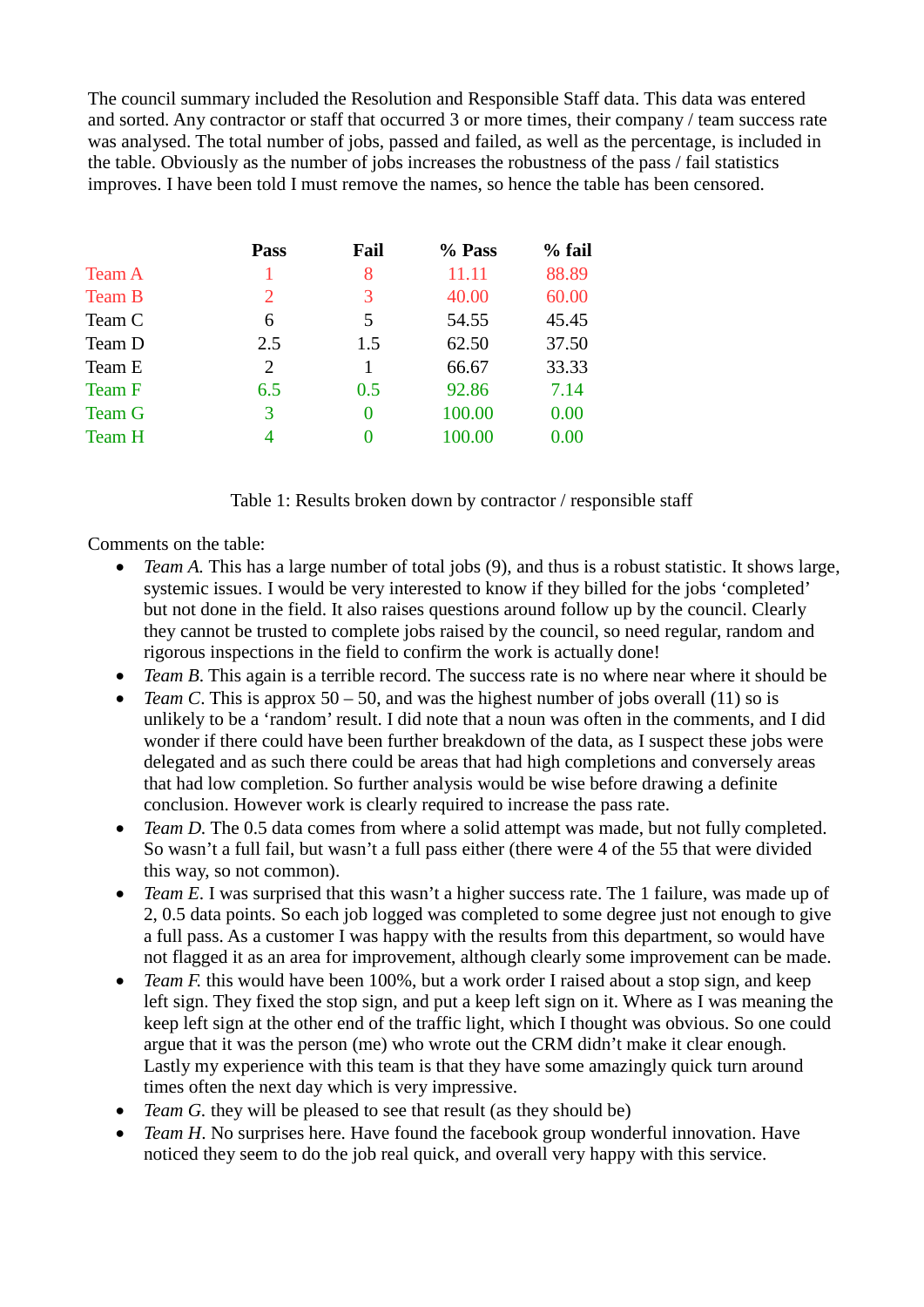The council summary included the Resolution and Responsible Staff data. This data was entered and sorted. Any contractor or staff that occurred 3 or more times, their company / team success rate was analysed. The total number of jobs, passed and failed, as well as the percentage, is included in the table. Obviously as the number of jobs increases the robustness of the pass / fail statistics improves. I have been told I must remove the names, so hence the table has been censored.

| <b>Pass</b>                 | Fail     | % Pass | $%$ fail |
|-----------------------------|----------|--------|----------|
|                             | 8        | 11.11  | 88.89    |
| $\mathcal{D}_{\mathcal{L}}$ | 3        | 40.00  | 60.00    |
| 6                           | 5        | 54.55  | 45.45    |
| 2.5                         | 1.5      | 62.50  | 37.50    |
| 2                           |          | 66.67  | 33.33    |
| 6.5                         | 0.5      | 92.86  | 7.14     |
| 3                           | $\theta$ | 100.00 | 0.00     |
| 4                           |          | 100.00 | 0.00     |
|                             |          |        |          |

| Table 1: Results broken down by contractor / responsible staff |  |  |
|----------------------------------------------------------------|--|--|
|----------------------------------------------------------------|--|--|

Comments on the table:

- *Team A.* This has a large number of total jobs (9), and thus is a robust statistic. It shows large, systemic issues. I would be very interested to know if they billed for the jobs 'completed' but not done in the field. It also raises questions around follow up by the council. Clearly they cannot be trusted to complete jobs raised by the council, so need regular, random and rigorous inspections in the field to confirm the work is actually done!
- *Team B*. This again is a terrible record. The success rate is no where near where it should be
- *Team C*. This is approx  $50 50$ , and was the highest number of jobs overall (11) so is unlikely to be a 'random' result. I did note that a noun was often in the comments, and I did wonder if there could have been further breakdown of the data, as I suspect these jobs were delegated and as such there could be areas that had high completions and conversely areas that had low completion. So further analysis would be wise before drawing a definite conclusion. However work is clearly required to increase the pass rate.
- *Team D*. The 0.5 data comes from where a solid attempt was made, but not fully completed. So wasn't a full fail, but wasn't a full pass either (there were 4 of the 55 that were divided this way, so not common).
- *Team E*. I was surprised that this wasn't a higher success rate. The 1 failure, was made up of 2, 0.5 data points. So each job logged was completed to some degree just not enough to give a full pass. As a customer I was happy with the results from this department, so would have not flagged it as an area for improvement, although clearly some improvement can be made.
- *Team F*, this would have been 100%, but a work order I raised about a stop sign, and keep left sign. They fixed the stop sign, and put a keep left sign on it. Where as I was meaning the keep left sign at the other end of the traffic light, which I thought was obvious. So one could argue that it was the person (me) who wrote out the CRM didn't make it clear enough. Lastly my experience with this team is that they have some amazingly quick turn around times often the next day which is very impressive.
- *Team G*, they will be pleased to see that result (as they should be)
- *Team H*. No surprises here. Have found the facebook group wonderful innovation. Have noticed they seem to do the job real quick, and overall very happy with this service.